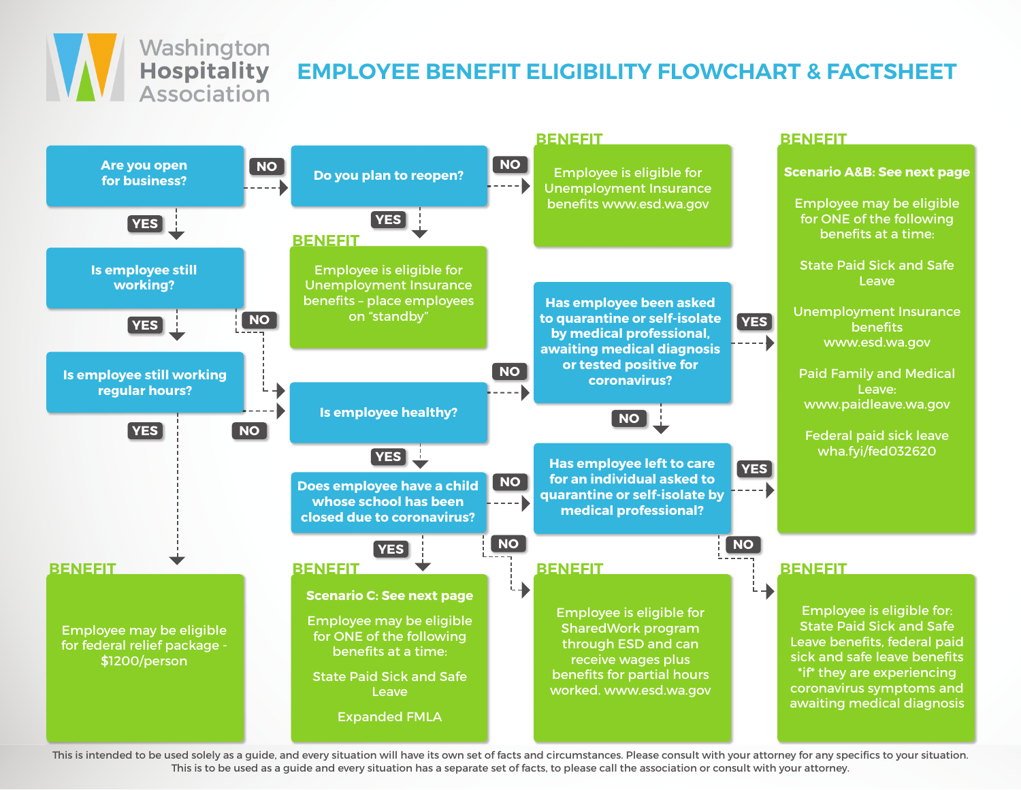

## **EMPLOYEE BENEFIT ELIGIBILITY FLOWCHART & FACTSHEET**



This is intended to be used solely as a guide, and every situation will have its own set of facts and circumstances. Please consult with your attorney for any specifics to your situation. This is to be used as a guide and every situation has a separate set of facts, to please call the association or consult with your attorney.